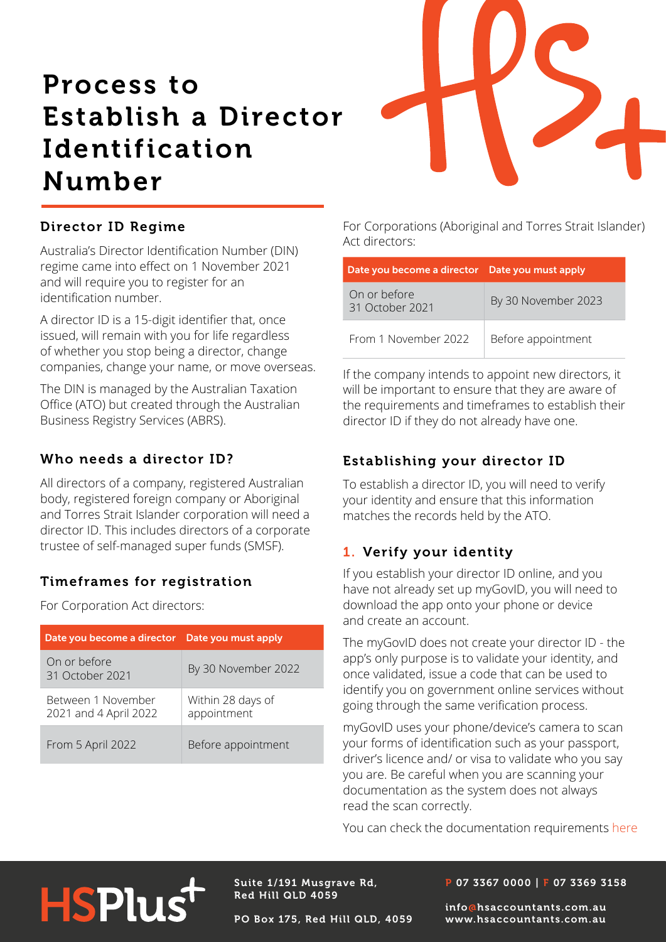# Process to Establish a Director Identification Number



# Director ID Regime

Act directors:<br>Australia's Director Identification Number (DIN) regime came into effect on 1 November 2021 and will require you to register for an identification number.

A director ID is a 15-digit identifier that, once issued, will remain with you for life regardless of whether you stop being a director, change companies, change your name, or move overseas.

The DIN is managed by the Australian Taxation Office (ATO) but created through the Australian Business Registry Services (ABRS).

### Who needs a director ID?

All directors of a company, registered Australian body, registered foreign company or Aboriginal and Torres Strait Islander corporation will need a director ID. This includes directors of a corporate trustee of self-managed super funds (SMSF).

### Timeframes for registration

For Corporation Act directors:

| Date you become a director Date you must apply |                                  |
|------------------------------------------------|----------------------------------|
| On or before<br>31 October 2021                | By 30 November 2022              |
| Between 1 November<br>2021 and 4 April 2022    | Within 28 days of<br>appointment |
| From 5 April 2022                              | Before appointment               |

For Corporations (Aboriginal and Torres Strait Islander)

| Date you become a director Date you must apply |                     |
|------------------------------------------------|---------------------|
| On or before<br>31 October 2021                | By 30 November 2023 |
| From 1 November 2022                           | Before appointment  |

If the company intends to appoint new directors, it will be important to ensure that they are aware of the requirements and timeframes to establish their director ID if they do not already have one.

# Establishing your director ID

To establish a director ID, you will need to verify your identity and ensure that this information matches the records held by the ATO.

# 1. Verify your identity

If you establish your director ID online, and you have not already set up myGovID, you will need to download the app onto your phone or device and create an account.

The myGovID does not create your director ID - the app's only purpose is to validate your identity, and once validated, issue a code that can be used to identify you on government online services without going through the same verification process.

myGovID uses your phone/device's camera to scan your forms of identification such as your passport, driver's licence and/ or visa to validate who you say you are. Be careful when you are scanning your documentation as the system does not always read the scan correctly.

You can check the documentation requirements [here](https://www.mygovid.gov.au/verifying-your-identity )

# **HSPlus**

Suite 1/191 Musgrave Rd, Red Hill QLD 4059

PO Box 175, Red Hill QLD, 4059

#### P 07 3367 0000 | F 07 3369 3158

info@hsaccountants.com.au www.hsaccountants.com.au